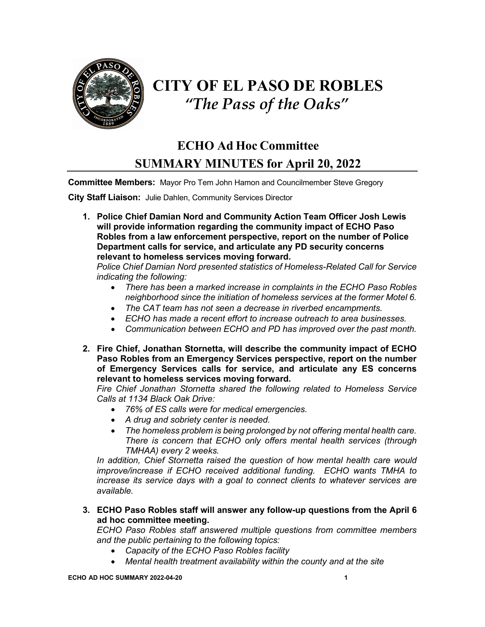

## **CITY OF EL PASO DE ROBLES** *"The Pass of the Oaks"*

## **ECHO Ad Hoc Committee SUMMARY MINUTES for April 20, 2022**

**Committee Members:** Mayor Pro Tem John Hamon and Councilmember Steve Gregory

**City Staff Liaison:** Julie Dahlen, Community Services Director

**1. Police Chief Damian Nord and Community Action Team Officer Josh Lewis will provide information regarding the community impact of ECHO Paso Robles from a law enforcement perspective, report on the number of Police Department calls for service, and articulate any PD security concerns relevant to homeless services moving forward.**

*Police Chief Damian Nord presented statistics of Homeless-Related Call for Service indicating the following:* 

- *There has been a marked increase in complaints in the ECHO Paso Robles neighborhood since the initiation of homeless services at the former Motel 6.*
- *The CAT team has not seen a decrease in riverbed encampments.*
- *ECHO has made a recent effort to increase outreach to area businesses.*
- *Communication between ECHO and PD has improved over the past month.*
- **2. Fire Chief, Jonathan Stornetta, will describe the community impact of ECHO Paso Robles from an Emergency Services perspective, report on the number of Emergency Services calls for service, and articulate any ES concerns relevant to homeless services moving forward.**

*Fire Chief Jonathan Stornetta shared the following related to Homeless Service Calls at 1134 Black Oak Drive:* 

- *76% of ES calls were for medical emergencies.*
- *A drug and sobriety center is needed.*
- *The homeless problem is being prolonged by not offering mental health care. There is concern that ECHO only offers mental health services (through TMHAA) every 2 weeks.*

*In addition, Chief Stornetta raised the question of how mental health care would improve/increase if ECHO received additional funding. ECHO wants TMHA to increase its service days with a goal to connect clients to whatever services are available.*

**3. ECHO Paso Robles staff will answer any follow-up questions from the April 6 ad hoc committee meeting.**

*ECHO Paso Robles staff answered multiple questions from committee members and the public pertaining to the following topics:* 

- *Capacity of the ECHO Paso Robles facility*
- *Mental health treatment availability within the county and at the site*